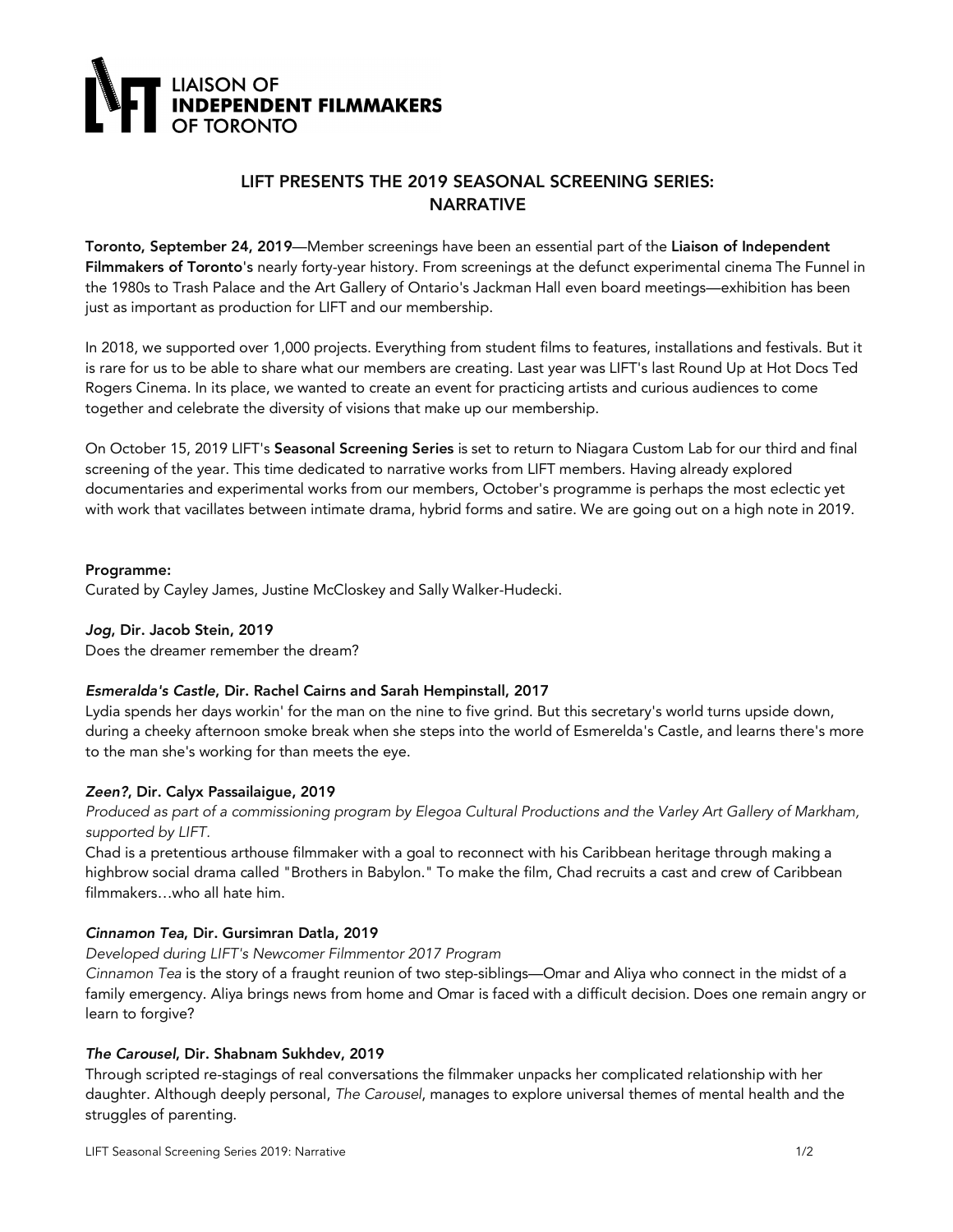

# LIFT PRESENTS THE 2019 SEASONAL SCREENING SERIES: NARRATIVE

Toronto, September 24, 2019—Member screenings have been an essential part of the Liaison of Independent Filmmakers of Toronto's nearly forty-year history. From screenings at the defunct experimental cinema The Funnel in the 1980s to Trash Palace and the Art Gallery of Ontario's Jackman Hall even board meetings—exhibition has been just as important as production for LIFT and our membership.

In 2018, we supported over 1,000 projects. Everything from student films to features, installations and festivals. But it is rare for us to be able to share what our members are creating. Last year was LIFT's last Round Up at Hot Docs Ted Rogers Cinema. In its place, we wanted to create an event for practicing artists and curious audiences to come together and celebrate the diversity of visions that make up our membership.

On October 15, 2019 LIFT's Seasonal Screening Series is set to return to Niagara Custom Lab for our third and final screening of the year. This time dedicated to narrative works from LIFT members. Having already explored documentaries and experimental works from our members, October's programme is perhaps the most eclectic yet with work that vacillates between intimate drama, hybrid forms and satire. We are going out on a high note in 2019.

#### Programme:

Curated by Cayley James, Justine McCloskey and Sally Walker-Hudecki.

# *Jog*, Dir. Jacob Stein, 2019

Does the dreamer remember the dream?

# *Esmeralda's Castle*, Dir. Rachel Cairns and Sarah Hempinstall, 2017

Lydia spends her days workin' for the man on the nine to five grind. But this secretary's world turns upside down, during a cheeky afternoon smoke break when she steps into the world of Esmerelda's Castle, and learns there's more to the man she's working for than meets the eye.

# *Zeen?*, Dir. Calyx Passailaigue, 2019

Produced as part of a commissioning program by Elegoa Cultural Productions and the Varley Art Gallery of Markham, *supported by LIFT.*

Chad is a pretentious arthouse filmmaker with a goal to reconnect with his Caribbean heritage through making a highbrow social drama called "Brothers in Babylon." To make the film, Chad recruits a cast and crew of Caribbean filmmakers…who all hate him.

# *Cinnamon Tea*, Dir. Gursimran Datla, 2019

#### *Developed during LIFT's Newcomer Filmmentor 2017 Program*

*Cinnamon Tea* is the story of a fraught reunion of two step-siblings—Omar and Aliya who connect in the midst of a family emergency. Aliya brings news from home and Omar is faced with a difficult decision. Does one remain angry or learn to forgive?

#### *The Carousel*, Dir. Shabnam Sukhdev, 2019

Through scripted re-stagings of real conversations the filmmaker unpacks her complicated relationship with her daughter. Although deeply personal, *The Carousel*, manages to explore universal themes of mental health and the struggles of parenting.